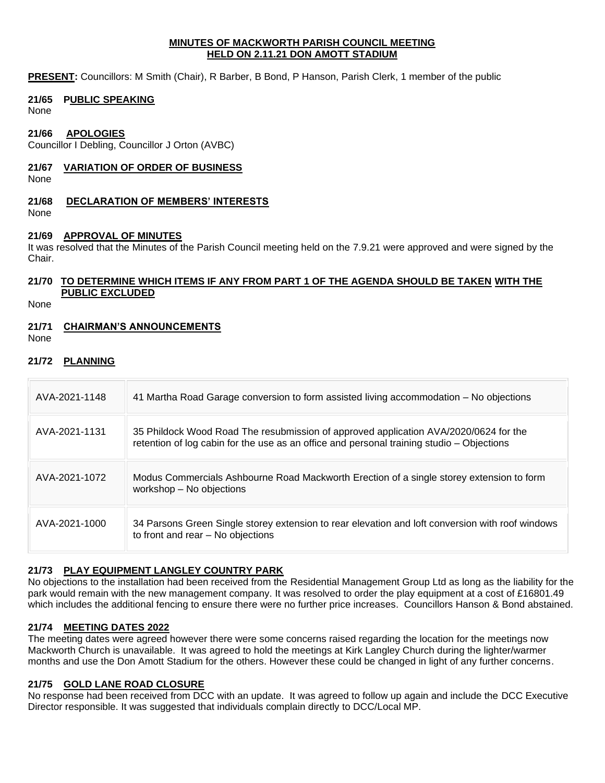#### **MINUTES OF MACKWORTH PARISH COUNCIL MEETING HELD ON 2.11.21 DON AMOTT STADIUM**

**PRESENT:** Councillors: M Smith (Chair), R Barber, B Bond, P Hanson, Parish Clerk, 1 member of the public

### **21/65 PUBLIC SPEAKING**

None

### **21/66 APOLOGIES**

Councillor I Debling, Councillor J Orton (AVBC)

#### **21/67 VARIATION OF ORDER OF BUSINESS**

None

# **21/68 DECLARATION OF MEMBERS' INTERESTS**

None

#### **21/69 APPROVAL OF MINUTES**

It was resolved that the Minutes of the Parish Council meeting held on the 7.9.21 were approved and were signed by the Chair.

#### **21/70 TO DETERMINE WHICH ITEMS IF ANY FROM PART 1 OF THE AGENDA SHOULD BE TAKEN WITH THE PUBLIC EXCLUDED**

None

# **21/71 CHAIRMAN'S ANNOUNCEMENTS**

None

#### **21/72 PLANNING**

| AVA-2021-1148 | 41 Martha Road Garage conversion to form assisted living accommodation – No objections                                                                                            |
|---------------|-----------------------------------------------------------------------------------------------------------------------------------------------------------------------------------|
| AVA-2021-1131 | 35 Phildock Wood Road The resubmission of approved application AVA/2020/0624 for the<br>retention of log cabin for the use as an office and personal training studio – Objections |
| AVA-2021-1072 | Modus Commercials Ashbourne Road Mackworth Erection of a single storey extension to form<br>workshop - No objections                                                              |
| AVA-2021-1000 | 34 Parsons Green Single storey extension to rear elevation and loft conversion with roof windows<br>to front and rear - No objections                                             |

#### **21/73 PLAY EQUIPMENT LANGLEY COUNTRY PARK**

No objections to the installation had been received from the Residential Management Group Ltd as long as the liability for the park would remain with the new management company. It was resolved to order the play equipment at a cost of £16801.49 which includes the additional fencing to ensure there were no further price increases. Councillors Hanson & Bond abstained.

# **21/74 MEETING DATES 2022**

The meeting dates were agreed however there were some concerns raised regarding the location for the meetings now Mackworth Church is unavailable. It was agreed to hold the meetings at Kirk Langley Church during the lighter/warmer months and use the Don Amott Stadium for the others. However these could be changed in light of any further concerns.

#### **21/75 GOLD LANE ROAD CLOSURE**

No response had been received from DCC with an update. It was agreed to follow up again and include the DCC Executive Director responsible. It was suggested that individuals complain directly to DCC/Local MP.